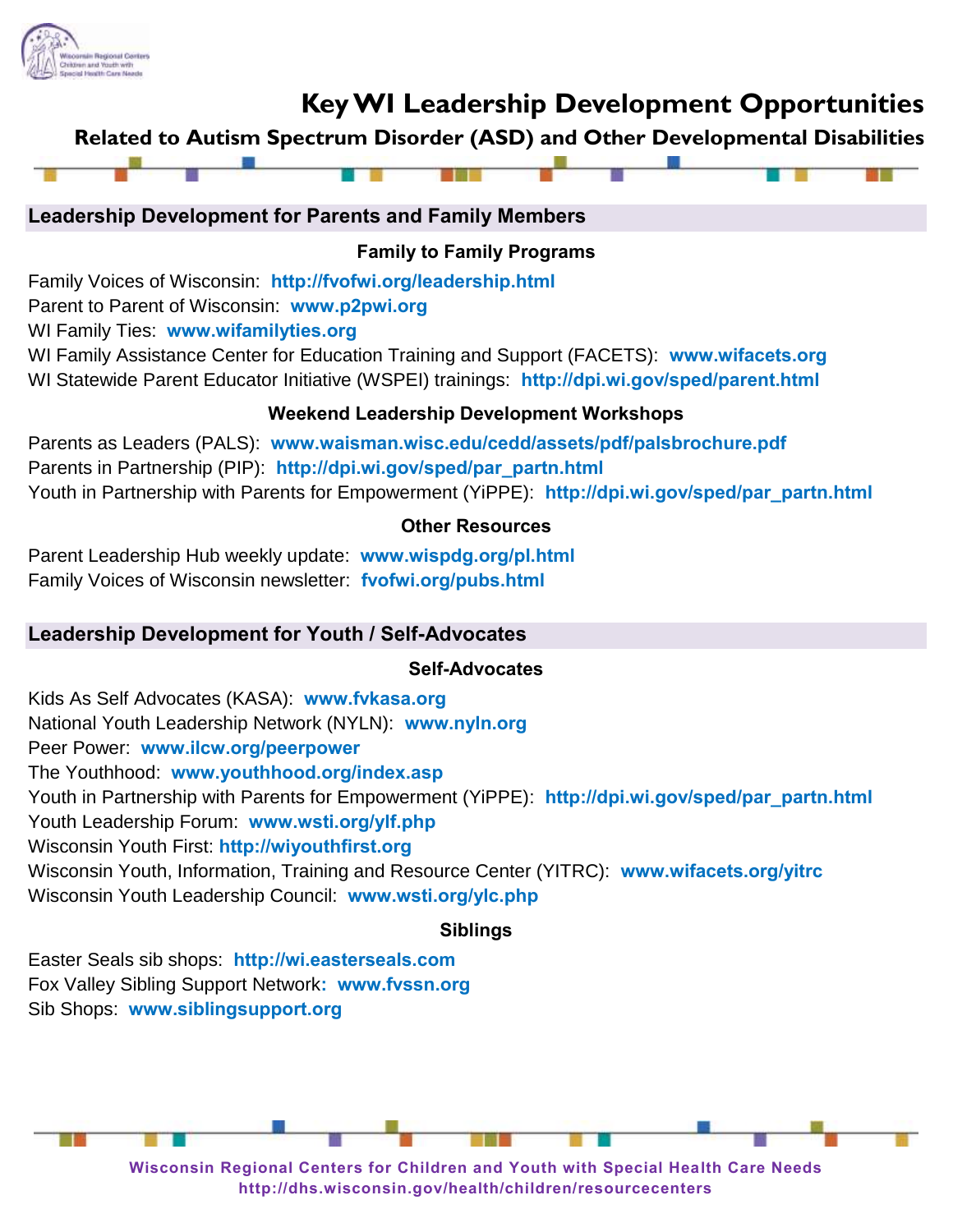

# **Key WI Leadership Development Opportunities**

## **Related to Autism Spectrum Disorder (ASD) and Other Developmental Disabilities**



## **Leadership Development for Parents and Family Members**

## **Family to Family Programs**

Family Voices of Wisconsin: **http://fvofwi.org/leadership.html**

Parent to Parent of Wisconsin: **www.p2pwi.org**

WI Family Ties: **www.wifamilyties.org**

WI Family Assistance Center for Education Training and Support (FACETS): **www.wifacets.org**  WI Statewide Parent Educator Initiative (WSPEI) trainings: **http://dpi.wi.gov/sped/parent.html**

## **Weekend Leadership Development Workshops**

Parents as Leaders (PALS): **www.waisman.wisc.edu/cedd/assets/pdf/palsbrochure.pdf** Parents in Partnership (PIP): **http://dpi.wi.gov/sped/par\_partn.html** Youth in Partnership with Parents for Empowerment (YiPPE): **http://dpi.wi.gov/sped/par\_partn.html**

## **Other Resources**

Parent Leadership Hub weekly update: **www.wispdg.org/pl.html** Family Voices of Wisconsin newsletter: **fvofwi.org/pubs.html**

## **Leadership Development for Youth / Self-Advocates**

## **Self-Advocates**

Kids As Self Advocates (KASA): **www.fvkasa.org** National Youth Leadership Network (NYLN): **www.nyln.org** Peer Power: **www.ilcw.org/peerpower** The Youthhood: **www.youthhood.org/index.asp** Youth in Partnership with Parents for Empowerment (YiPPE): **http://dpi.wi.gov/sped/par\_partn.html** Youth Leadership Forum: **www.wsti.org/ylf.php** Wisconsin Youth First: **http://wiyouthfirst.org** Wisconsin Youth, Information, Training and Resource Center (YITRC): **www.wifacets.org/yitrc** Wisconsin Youth Leadership Council: **www.wsti.org/ylc.php**

#### **Siblings**

Easter Seals sib shops: **http://wi.easterseals.com** Fox Valley Sibling Support Network**: www.fvssn.org** Sib Shops: **www.siblingsupport.org**

> **Wisconsin Regional Centers for Children and Youth with Special Health Care Needs http://dhs.wisconsin.gov/health/children/resourcecenters**